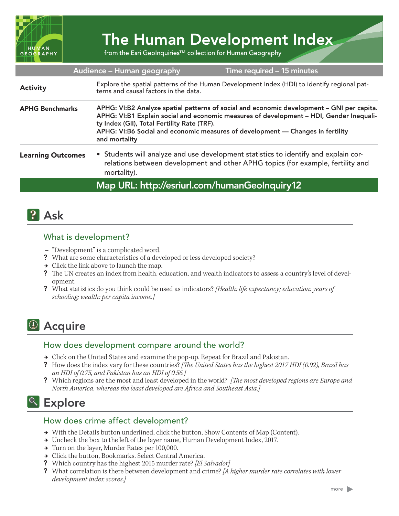

# The Human Development Index

from the Esri GeoInquiries™ collection for Human Geography

|                          | Audience - Human geography                                                                                                                                                                                                                                                                                                             | Time required - 15 minutes                                                                                                                                             |
|--------------------------|----------------------------------------------------------------------------------------------------------------------------------------------------------------------------------------------------------------------------------------------------------------------------------------------------------------------------------------|------------------------------------------------------------------------------------------------------------------------------------------------------------------------|
| <b>Activity</b>          | Explore the spatial patterns of the Human Development Index (HDI) to identify regional pat-<br>terns and causal factors in the data.                                                                                                                                                                                                   |                                                                                                                                                                        |
| <b>APHG Benchmarks</b>   | APHG: VI:B2 Analyze spatial patterns of social and economic development - GNI per capita.<br>APHG: VI:B1 Explain social and economic measures of development - HDI, Gender Inequali-<br>ty Index (GII), Total Fertility Rate (TRF).<br>APHG: VI:B6 Social and economic measures of development - Changes in fertility<br>and mortality |                                                                                                                                                                        |
| <b>Learning Outcomes</b> | mortality).                                                                                                                                                                                                                                                                                                                            | • Students will analyze and use development statistics to identify and explain cor-<br>relations between development and other APHG topics (for example, fertility and |
|                          |                                                                                                                                                                                                                                                                                                                                        | Map URL: http://esriurl.com/humanGeoInquiry12                                                                                                                          |

### **P** Ask

#### What is development?

- **–** "Development" is a complicated word.
- ? What are some characteristics of a developed or less developed society?
- $\rightarrow$  Click the link above to launch the map.
- ? The UN creates an index from health, education, and wealth indicators to assess a country's level of development.
- ? What statistics do you think could be used as indicators? *[Health: life expectancy; education: years of schooling; wealth: per capita income.]*

## <sup>4</sup> Acquire

#### How does development compare around the world?

- → Click on the United States and examine the pop-up. Repeat for Brazil and Pakistan.
- ? How does the index vary for these countries? *[The United States has the highest 2017 HDI (0.92), Brazil has an HDI of 0.75, and Pakistan has an HDI of 0.56.]*
- ? Which regions are the most and least developed in the world? *[The most developed regions are Europe and North America, whereas the least developed are Africa and Southeast Asia.]*

### <sup>o</sup> Explore

#### How does crime affect development?

- → With the Details button underlined, click the button, Show Contents of Map (Content).
- → Uncheck the box to the left of the layer name, Human Development Index, 2017.
- → Turn on the layer, Murder Rates per 100,000.
- → Click the button, Bookmarks. Select Central America.
- ? Which country has the highest 2015 murder rate? *[El Salvador]*
- ? What correlation is there between development and crime? *[A higher murder rate correlates with lower development index scores.]*